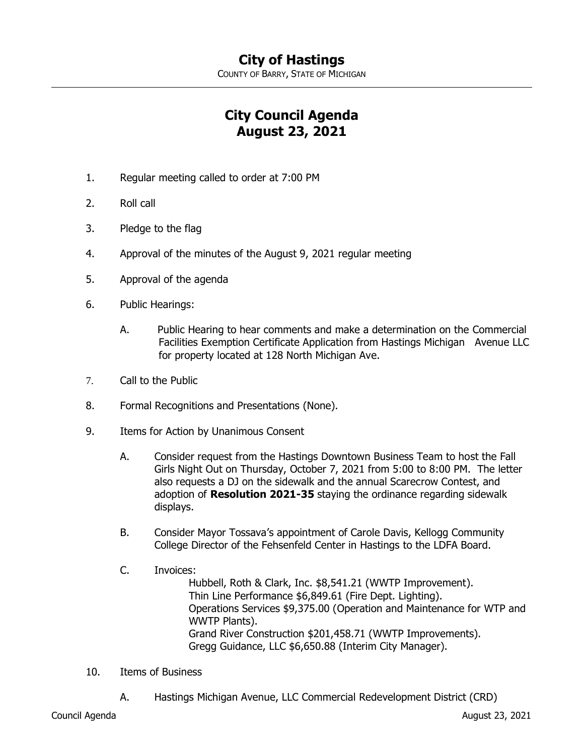COUNTY OF BARRY, STATE OF MICHIGAN

## **City Council Agenda August 23, 2021**

- 1. Regular meeting called to order at 7:00 PM
- 2. Roll call
- 3. Pledge to the flag
- 4. Approval of the minutes of the August 9, 2021 regular meeting
- 5. Approval of the agenda
- 6. Public Hearings:
	- A. Public Hearing to hear comments and make a determination on the Commercial Facilities Exemption Certificate Application from Hastings Michigan Avenue LLC for property located at 128 North Michigan Ave.
- 7. Call to the Public
- 8. Formal Recognitions and Presentations (None).
- 9. Items for Action by Unanimous Consent
	- A. Consider request from the Hastings Downtown Business Team to host the Fall Girls Night Out on Thursday, October 7, 2021 from 5:00 to 8:00 PM. The letter also requests a DJ on the sidewalk and the annual Scarecrow Contest, and adoption of **Resolution 2021-35** staying the ordinance regarding sidewalk displays.
	- B. Consider Mayor Tossava's appointment of Carole Davis, Kellogg Community College Director of the Fehsenfeld Center in Hastings to the LDFA Board.
	- C. Invoices:

Hubbell, Roth & Clark, Inc. \$8,541.21 (WWTP Improvement). Thin Line Performance \$6,849.61 (Fire Dept. Lighting). Operations Services \$9,375.00 (Operation and Maintenance for WTP and WWTP Plants). Grand River Construction \$201,458.71 (WWTP Improvements). Gregg Guidance, LLC \$6,650.88 (Interim City Manager).

- 10. Items of Business
	- A. Hastings Michigan Avenue, LLC Commercial Redevelopment District (CRD)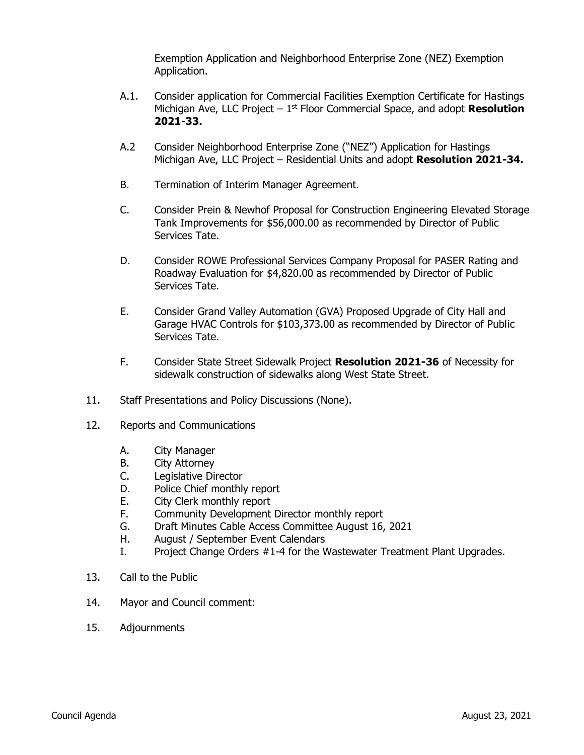Exemption Application and Neighborhood Enterprise Zone (NEZ) Exemption Application.

- A.1. Consider application for Commercial Facilities Exemption Certificate for Hastings Michigan Ave, LLC Project – 1<sup>st</sup> Floor Commercial Space, and adopt **Resolution 2021-33.**
- A.2 Consider Neighborhood Enterprise Zone ("NEZ") Application for Hastings Michigan Ave, LLC Project – Residential Units and adopt **Resolution 2021-34.**
- B. Termination of Interim Manager Agreement.
- C. Consider Prein & Newhof Proposal for Construction Engineering Elevated Storage Tank Improvements for \$56,000.00 as recommended by Director of Public Services Tate.
- D. Consider ROWE Professional Services Company Proposal for PASER Rating and Roadway Evaluation for \$4,820.00 as recommended by Director of Public Services Tate.
- E. Consider Grand Valley Automation (GVA) Proposed Upgrade of City Hall and Garage HVAC Controls for \$103,373.00 as recommended by Director of Public Services Tate.
- F. Consider State Street Sidewalk Project **Resolution 2021-36** of Necessity for sidewalk construction of sidewalks along West State Street.
- 11. Staff Presentations and Policy Discussions (None).
- 12. Reports and Communications
	- A. City Manager
	- B. City Attorney
	- C. Legislative Director
	- D. Police Chief monthly report
	- E. City Clerk monthly report
	- F. Community Development Director monthly report
	- G. Draft Minutes Cable Access Committee August 16, 2021
	- H. August / September Event Calendars
	- I. Project Change Orders #1-4 for the Wastewater Treatment Plant Upgrades.
- 13. Call to the Public
- 14. Mayor and Council comment:
- 15. Adjournments